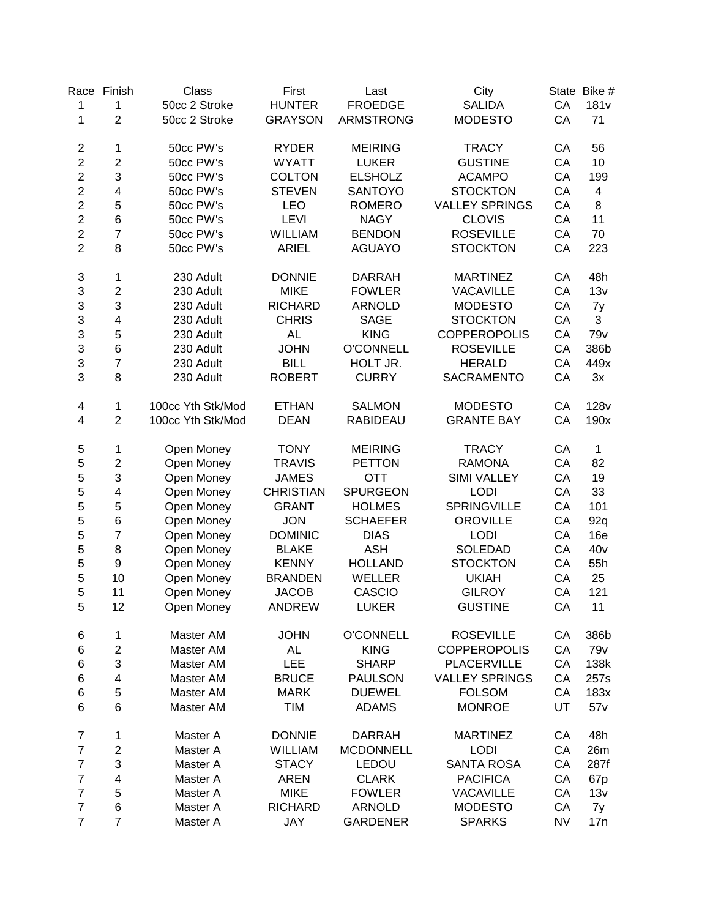| Race                    | Finish                  | Class             | First            | Last             | City                  |           | State Bike #     |
|-------------------------|-------------------------|-------------------|------------------|------------------|-----------------------|-----------|------------------|
| 1                       | 1                       | 50cc 2 Stroke     | <b>HUNTER</b>    | <b>FROEDGE</b>   | <b>SALIDA</b>         | CA        | 181 <sub>v</sub> |
| 1                       | $\overline{2}$          | 50cc 2 Stroke     | <b>GRAYSON</b>   | <b>ARMSTRONG</b> | <b>MODESTO</b>        | CA        | 71               |
| $\overline{\mathbf{c}}$ | 1                       | 50cc PW's         | <b>RYDER</b>     | <b>MEIRING</b>   | <b>TRACY</b>          | CA        | 56               |
| $\overline{2}$          | $\overline{2}$          | 50cc PW's         | <b>WYATT</b>     | <b>LUKER</b>     | <b>GUSTINE</b>        | CA        | 10               |
| $\overline{c}$          | 3                       | 50cc PW's         | <b>COLTON</b>    | <b>ELSHOLZ</b>   | <b>ACAMPO</b>         | CA        | 199              |
| $\overline{c}$          | 4                       | 50cc PW's         | <b>STEVEN</b>    | <b>SANTOYO</b>   | <b>STOCKTON</b>       | CA        | 4                |
| $\overline{2}$          | 5                       | 50cc PW's         | <b>LEO</b>       | <b>ROMERO</b>    | <b>VALLEY SPRINGS</b> | CA        | 8                |
| $\overline{2}$          | 6                       | 50cc PW's         | <b>LEVI</b>      | <b>NAGY</b>      | <b>CLOVIS</b>         | CA        | 11               |
| $\overline{c}$          | $\overline{7}$          | 50cc PW's         | <b>WILLIAM</b>   | <b>BENDON</b>    | <b>ROSEVILLE</b>      | CA        | 70               |
| $\overline{c}$          | 8                       | 50cc PW's         | <b>ARIEL</b>     | <b>AGUAYO</b>    | <b>STOCKTON</b>       | CA        | 223              |
| 3                       | 1                       | 230 Adult         | <b>DONNIE</b>    | <b>DARRAH</b>    | <b>MARTINEZ</b>       | CA        | 48h              |
| 3                       | $\overline{\mathbf{c}}$ | 230 Adult         | <b>MIKE</b>      | <b>FOWLER</b>    | <b>VACAVILLE</b>      | CA        | 13v              |
| 3                       | 3                       | 230 Adult         | <b>RICHARD</b>   | <b>ARNOLD</b>    | <b>MODESTO</b>        | CA        | 7y               |
| 3                       | 4                       | 230 Adult         | <b>CHRIS</b>     | <b>SAGE</b>      | <b>STOCKTON</b>       | CA        | 3                |
| 3                       | 5                       | 230 Adult         | <b>AL</b>        | <b>KING</b>      | <b>COPPEROPOLIS</b>   | CA        | 79 <sub>v</sub>  |
| 3                       | 6                       | 230 Adult         | <b>JOHN</b>      | <b>O'CONNELL</b> | <b>ROSEVILLE</b>      | CA        | 386b             |
| 3                       | $\overline{7}$          | 230 Adult         | <b>BILL</b>      | HOLT JR.         | <b>HERALD</b>         | CA        | 449x             |
| 3                       | 8                       | 230 Adult         | <b>ROBERT</b>    | <b>CURRY</b>     | SACRAMENTO            | CA        | 3x               |
| 4                       | 1                       | 100cc Yth Stk/Mod | <b>ETHAN</b>     | <b>SALMON</b>    | <b>MODESTO</b>        | CA        | 128v             |
| 4                       | $\overline{2}$          | 100cc Yth Stk/Mod | <b>DEAN</b>      | <b>RABIDEAU</b>  | <b>GRANTE BAY</b>     | CA        | 190x             |
| 5                       | 1                       | Open Money        | <b>TONY</b>      | <b>MEIRING</b>   | <b>TRACY</b>          | CA        | 1                |
| 5                       | $\overline{\mathbf{c}}$ | Open Money        | <b>TRAVIS</b>    | <b>PETTON</b>    | <b>RAMONA</b>         | CA        | 82               |
| 5                       | 3                       | Open Money        | <b>JAMES</b>     | <b>OTT</b>       | <b>SIMI VALLEY</b>    | CA        | 19               |
| 5                       | 4                       | Open Money        | <b>CHRISTIAN</b> | <b>SPURGEON</b>  | <b>LODI</b>           | CA        | 33               |
| 5                       | 5                       | Open Money        | <b>GRANT</b>     | <b>HOLMES</b>    | <b>SPRINGVILLE</b>    | CA        | 101              |
| 5                       | 6                       | Open Money        | <b>JON</b>       | <b>SCHAEFER</b>  | <b>OROVILLE</b>       | CA        | 92q              |
| 5                       | $\overline{7}$          | Open Money        | <b>DOMINIC</b>   | <b>DIAS</b>      | <b>LODI</b>           | CA        | 16e              |
| 5                       | 8                       | Open Money        | <b>BLAKE</b>     | <b>ASH</b>       | <b>SOLEDAD</b>        | CA        | 40v              |
| 5                       | 9                       | Open Money        | <b>KENNY</b>     | <b>HOLLAND</b>   | <b>STOCKTON</b>       | CA        | 55h              |
| 5                       | 10                      | Open Money        | <b>BRANDEN</b>   | <b>WELLER</b>    | <b>UKIAH</b>          | CA        | 25               |
| 5                       | 11                      | Open Money        | <b>JACOB</b>     | <b>CASCIO</b>    | <b>GILROY</b>         | CA        | 121              |
| 5                       | 12                      | Open Money        | ANDREW           | <b>LUKER</b>     | <b>GUSTINE</b>        | CA        | 11               |
| 6                       | 1                       | Master AM         | <b>JOHN</b>      | <b>O'CONNELL</b> | <b>ROSEVILLE</b>      | CA        | 386b             |
| 6                       | $\overline{c}$          | Master AM         | AL               | <b>KING</b>      | <b>COPPEROPOLIS</b>   | CA        | 79 <sub>v</sub>  |
| 6                       | 3                       | Master AM         | LEE              | <b>SHARP</b>     | <b>PLACERVILLE</b>    | CA        | 138k             |
| 6                       | 4                       | Master AM         | <b>BRUCE</b>     | <b>PAULSON</b>   | <b>VALLEY SPRINGS</b> | CA        | 257s             |
| 6                       | 5                       | Master AM         | <b>MARK</b>      | <b>DUEWEL</b>    | <b>FOLSOM</b>         | CA        | 183x             |
| 6                       | 6                       | Master AM         | <b>TIM</b>       | <b>ADAMS</b>     | <b>MONROE</b>         | UT        | 57v              |
| $\overline{7}$          | $\mathbf{1}$            | Master A          | <b>DONNIE</b>    | <b>DARRAH</b>    | <b>MARTINEZ</b>       | CA        | 48h              |
| $\overline{7}$          | $\overline{c}$          | Master A          | <b>WILLIAM</b>   | <b>MCDONNELL</b> | <b>LODI</b>           | CA        | 26m              |
| $\overline{7}$          | 3                       | Master A          | <b>STACY</b>     | LEDOU            | <b>SANTA ROSA</b>     | CA        | 287f             |
| $\overline{7}$          | 4                       | Master A          | <b>AREN</b>      | <b>CLARK</b>     | <b>PACIFICA</b>       | CA        | 67p              |
| $\overline{7}$          | 5                       | Master A          | <b>MIKE</b>      | <b>FOWLER</b>    | <b>VACAVILLE</b>      | CA        | 13v              |
| $\overline{7}$          | 6                       | Master A          | <b>RICHARD</b>   | <b>ARNOLD</b>    | <b>MODESTO</b>        | CA        | 7y               |
| $\overline{7}$          | $\overline{7}$          | Master A          | <b>JAY</b>       | <b>GARDENER</b>  | <b>SPARKS</b>         | <b>NV</b> | 17n              |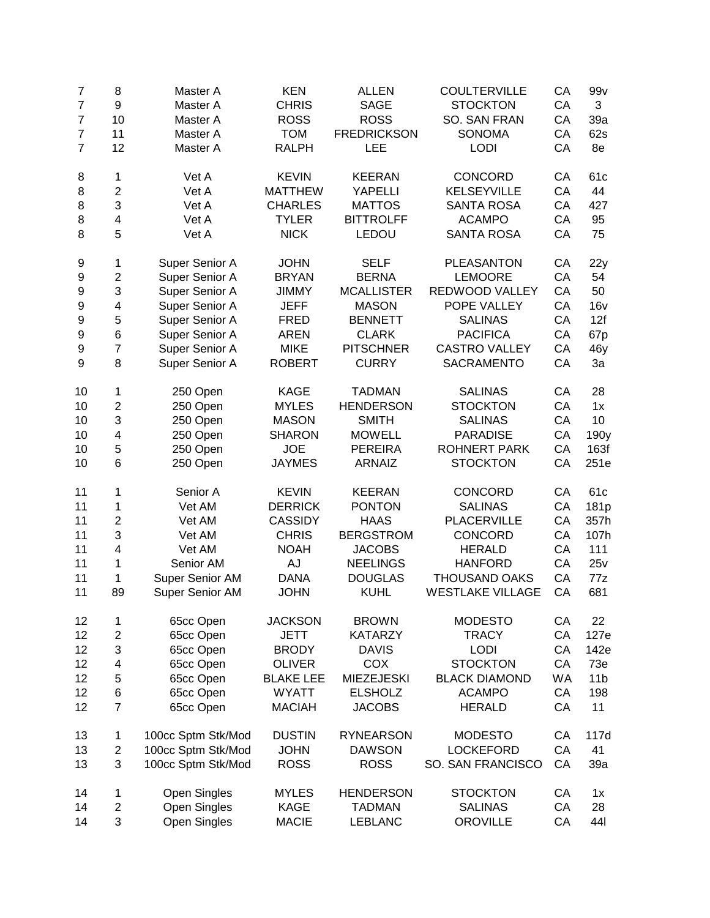| 7              | 8                       | Master A           | <b>KEN</b>       | <b>ALLEN</b>       | <b>COULTERVILLE</b>     | CA        | 99v             |
|----------------|-------------------------|--------------------|------------------|--------------------|-------------------------|-----------|-----------------|
| $\overline{7}$ | 9                       | Master A           | <b>CHRIS</b>     | <b>SAGE</b>        | <b>STOCKTON</b>         | CA        | 3               |
| $\overline{7}$ | 10                      | Master A           | <b>ROSS</b>      | <b>ROSS</b>        | SO. SAN FRAN            | CA        | 39a             |
| $\overline{7}$ | 11                      | Master A           | <b>TOM</b>       | <b>FREDRICKSON</b> | <b>SONOMA</b>           | CA        | 62s             |
| $\overline{7}$ | 12                      | Master A           | <b>RALPH</b>     | LEE                | <b>LODI</b>             | CA        | 8e              |
|                |                         |                    |                  |                    |                         |           |                 |
| 8              | 1                       | Vet A              | <b>KEVIN</b>     | <b>KEERAN</b>      | <b>CONCORD</b>          | CA        | 61c             |
| 8              | $\overline{c}$          | Vet A              | <b>MATTHEW</b>   | YAPELLI            | <b>KELSEYVILLE</b>      | CA        | 44              |
| 8              | 3                       | Vet A              | <b>CHARLES</b>   | <b>MATTOS</b>      | <b>SANTA ROSA</b>       | CA        | 427             |
| 8              | 4                       | Vet A              | <b>TYLER</b>     | <b>BITTROLFF</b>   | <b>ACAMPO</b>           | CA        | 95              |
| 8              | 5                       | Vet A              | <b>NICK</b>      | LEDOU              | <b>SANTA ROSA</b>       | CA        | 75              |
| 9              | 1                       | Super Senior A     | <b>JOHN</b>      | <b>SELF</b>        | <b>PLEASANTON</b>       | CA        | 22y             |
| 9              | $\overline{2}$          | Super Senior A     | <b>BRYAN</b>     | <b>BERNA</b>       | <b>LEMOORE</b>          | CA        | 54              |
| 9              | 3                       | Super Senior A     | <b>JIMMY</b>     | <b>MCALLISTER</b>  | REDWOOD VALLEY          | CA        | 50              |
| 9              | $\overline{\mathbf{4}}$ | Super Senior A     | <b>JEFF</b>      | <b>MASON</b>       | POPE VALLEY             | CA        | 16v             |
| 9              | 5                       | Super Senior A     | <b>FRED</b>      | <b>BENNETT</b>     | <b>SALINAS</b>          | CA        | 12f             |
| 9              | 6                       | Super Senior A     | <b>AREN</b>      | <b>CLARK</b>       | <b>PACIFICA</b>         | CA        | 67p             |
| 9              | $\overline{7}$          | Super Senior A     | <b>MIKE</b>      | <b>PITSCHNER</b>   | CASTRO VALLEY           | CA        | 46y             |
| 9              | 8                       | Super Senior A     | <b>ROBERT</b>    | <b>CURRY</b>       | SACRAMENTO              | CA        | За              |
|                |                         |                    |                  |                    |                         |           |                 |
| 10             | 1                       | 250 Open           | <b>KAGE</b>      | <b>TADMAN</b>      | <b>SALINAS</b>          | CA        | 28              |
| 10             | $\overline{2}$          | 250 Open           | <b>MYLES</b>     | <b>HENDERSON</b>   | <b>STOCKTON</b>         | CA        | 1x              |
| 10             | 3                       | 250 Open           | <b>MASON</b>     | <b>SMITH</b>       | <b>SALINAS</b>          | CA        | 10              |
| 10             | 4                       | 250 Open           | <b>SHARON</b>    | <b>MOWELL</b>      | <b>PARADISE</b>         | CA        | 190y            |
| 10             | 5                       | 250 Open           | <b>JOE</b>       | <b>PEREIRA</b>     | <b>ROHNERT PARK</b>     | CA        | 163f            |
| 10             | 6                       | 250 Open           | <b>JAYMES</b>    | <b>ARNAIZ</b>      | <b>STOCKTON</b>         | CA        | 251e            |
| 11             | 1                       | Senior A           | <b>KEVIN</b>     | <b>KEERAN</b>      | <b>CONCORD</b>          | CA        | 61c             |
| 11             | 1                       | Vet AM             | <b>DERRICK</b>   | <b>PONTON</b>      | <b>SALINAS</b>          | CA        | 181p            |
| 11             | $\overline{2}$          | Vet AM             | <b>CASSIDY</b>   | <b>HAAS</b>        | PLACERVILLE             | CA        | 357h            |
| 11             | 3                       | Vet AM             | <b>CHRIS</b>     | <b>BERGSTROM</b>   | CONCORD                 | CA        | 107h            |
| 11             | $\overline{\mathbf{4}}$ | Vet AM             | <b>NOAH</b>      | <b>JACOBS</b>      | <b>HERALD</b>           | CA        | 111             |
| 11             | 1                       | Senior AM          | AJ               | <b>NEELINGS</b>    | <b>HANFORD</b>          | CA        | 25v             |
| 11             | 1                       | Super Senior AM    | <b>DANA</b>      | <b>DOUGLAS</b>     | <b>THOUSAND OAKS</b>    | CA        | 77z             |
| 11             | 89                      | Super Senior AM    | <b>JOHN</b>      | <b>KUHL</b>        | <b>WESTLAKE VILLAGE</b> | CA        | 681             |
|                |                         |                    |                  |                    |                         |           |                 |
| 12             | 1                       | 65cc Open          | <b>JACKSON</b>   | <b>BROWN</b>       | <b>MODESTO</b>          | CA        | 22              |
| 12             | $\overline{2}$          | 65cc Open          | <b>JETT</b>      | <b>KATARZY</b>     | <b>TRACY</b>            | CA        | 127e            |
| 12             | 3                       | 65cc Open          | <b>BRODY</b>     | <b>DAVIS</b>       | <b>LODI</b>             | CA        | 142e            |
| 12             | 4                       | 65cc Open          | <b>OLIVER</b>    | COX                | <b>STOCKTON</b>         | CA        | 73e             |
| 12             | 5                       | 65cc Open          | <b>BLAKE LEE</b> | <b>MIEZEJESKI</b>  | <b>BLACK DIAMOND</b>    | <b>WA</b> | 11 <sub>b</sub> |
| 12             | 6                       | 65cc Open          | <b>WYATT</b>     | <b>ELSHOLZ</b>     | <b>ACAMPO</b>           | CA        | 198             |
| 12             | $\overline{7}$          | 65cc Open          | <b>MACIAH</b>    | <b>JACOBS</b>      | <b>HERALD</b>           | CA        | 11              |
| 13             | 1                       | 100cc Sptm Stk/Mod | <b>DUSTIN</b>    | <b>RYNEARSON</b>   | <b>MODESTO</b>          | CA        | 117d            |
| 13             | $\overline{c}$          | 100cc Sptm Stk/Mod | <b>JOHN</b>      | <b>DAWSON</b>      | <b>LOCKEFORD</b>        | CA        | 41              |
| 13             | 3                       | 100cc Sptm Stk/Mod | <b>ROSS</b>      | <b>ROSS</b>        | SO. SAN FRANCISCO       | CA        | 39a             |
|                |                         |                    |                  |                    |                         |           |                 |
| 14             | 1                       | Open Singles       | <b>MYLES</b>     | <b>HENDERSON</b>   | <b>STOCKTON</b>         | CA        | 1x              |
| 14             | $\overline{\mathbf{c}}$ | Open Singles       | <b>KAGE</b>      | <b>TADMAN</b>      | <b>SALINAS</b>          | CA        | 28              |
| 14             | 3                       | Open Singles       | <b>MACIE</b>     | <b>LEBLANC</b>     | <b>OROVILLE</b>         | CA        | 441             |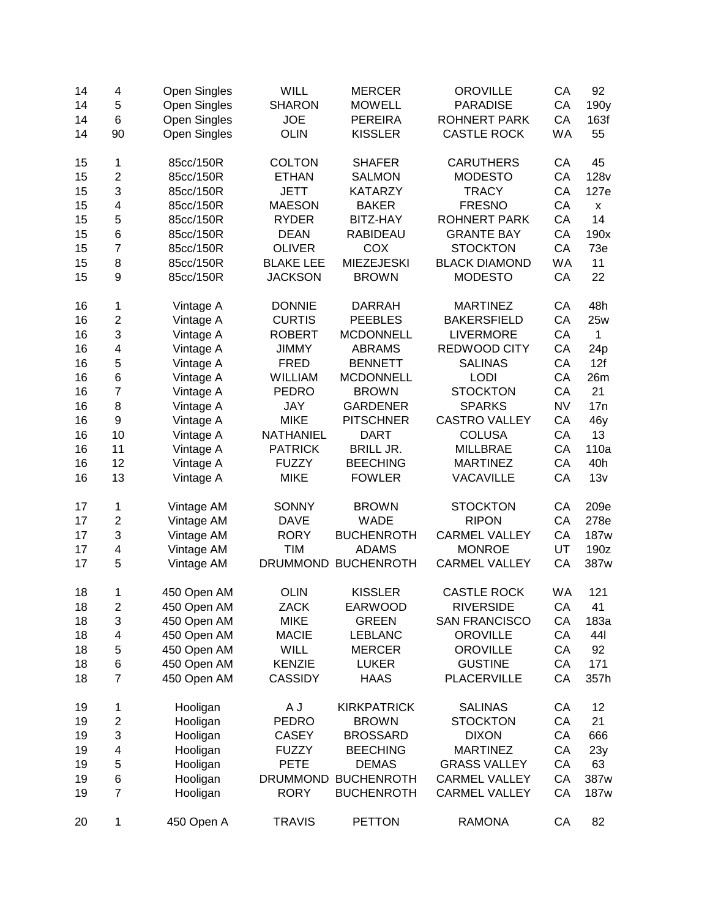| 14 | 4                       | Open Singles | <b>WILL</b>      | <b>MERCER</b>       | <b>OROVILLE</b>      | CA        | 92              |
|----|-------------------------|--------------|------------------|---------------------|----------------------|-----------|-----------------|
| 14 | 5                       | Open Singles | <b>SHARON</b>    | <b>MOWELL</b>       | <b>PARADISE</b>      | CA        | 190y            |
| 14 | 6                       | Open Singles | <b>JOE</b>       | <b>PEREIRA</b>      | ROHNERT PARK         | CA        | 163f            |
| 14 | 90                      | Open Singles | <b>OLIN</b>      | <b>KISSLER</b>      | <b>CASTLE ROCK</b>   | <b>WA</b> | 55              |
| 15 | 1                       | 85cc/150R    | <b>COLTON</b>    | <b>SHAFER</b>       | <b>CARUTHERS</b>     | CA        | 45              |
| 15 | $\mathbf{2}$            | 85cc/150R    | <b>ETHAN</b>     | <b>SALMON</b>       | <b>MODESTO</b>       | CA        | <b>128v</b>     |
| 15 | 3                       | 85cc/150R    | <b>JETT</b>      | <b>KATARZY</b>      | <b>TRACY</b>         | CA        | 127e            |
| 15 | 4                       | 85cc/150R    | <b>MAESON</b>    | <b>BAKER</b>        | <b>FRESNO</b>        | CA        | X               |
| 15 | 5                       | 85cc/150R    | <b>RYDER</b>     | BITZ-HAY            | <b>ROHNERT PARK</b>  | CA        | 14              |
| 15 | 6                       | 85cc/150R    | <b>DEAN</b>      | <b>RABIDEAU</b>     | <b>GRANTE BAY</b>    | CA        | 190x            |
| 15 | $\overline{7}$          | 85cc/150R    | <b>OLIVER</b>    | COX                 | <b>STOCKTON</b>      | CA        | 73e             |
| 15 | 8                       | 85cc/150R    | <b>BLAKE LEE</b> | <b>MIEZEJESKI</b>   | <b>BLACK DIAMOND</b> | <b>WA</b> | 11              |
| 15 | 9                       | 85cc/150R    | <b>JACKSON</b>   | <b>BROWN</b>        | <b>MODESTO</b>       | CA        | 22              |
| 16 | 1                       | Vintage A    | <b>DONNIE</b>    | <b>DARRAH</b>       | <b>MARTINEZ</b>      | CA        | 48h             |
| 16 | $\overline{c}$          | Vintage A    | <b>CURTIS</b>    | <b>PEEBLES</b>      | <b>BAKERSFIELD</b>   | CA        | 25w             |
| 16 | 3                       | Vintage A    | <b>ROBERT</b>    | <b>MCDONNELL</b>    | <b>LIVERMORE</b>     | CA        | 1               |
| 16 | 4                       | Vintage A    | <b>JIMMY</b>     | <b>ABRAMS</b>       | REDWOOD CITY         | CA        | 24 <sub>p</sub> |
| 16 | 5                       | Vintage A    | <b>FRED</b>      | <b>BENNETT</b>      | <b>SALINAS</b>       | CA        | 12f             |
| 16 | 6                       | Vintage A    | <b>WILLIAM</b>   | <b>MCDONNELL</b>    | <b>LODI</b>          | CA        | 26m             |
| 16 | $\overline{7}$          | Vintage A    | <b>PEDRO</b>     | <b>BROWN</b>        | <b>STOCKTON</b>      | CA        | 21              |
| 16 | 8                       | Vintage A    | <b>JAY</b>       | <b>GARDENER</b>     | <b>SPARKS</b>        | <b>NV</b> | 17n             |
| 16 | 9                       | Vintage A    | <b>MIKE</b>      | <b>PITSCHNER</b>    | <b>CASTRO VALLEY</b> | CA        | 46y             |
| 16 | 10                      | Vintage A    | <b>NATHANIEL</b> | <b>DART</b>         | <b>COLUSA</b>        | CA        | 13              |
| 16 | 11                      | Vintage A    | <b>PATRICK</b>   | <b>BRILL JR.</b>    | <b>MILLBRAE</b>      | CA        | 110a            |
| 16 | 12                      | Vintage A    | <b>FUZZY</b>     | <b>BEECHING</b>     | <b>MARTINEZ</b>      | CA        | 40h             |
| 16 | 13                      | Vintage A    | <b>MIKE</b>      | <b>FOWLER</b>       | <b>VACAVILLE</b>     | CA        | 13v             |
| 17 | 1                       | Vintage AM   | <b>SONNY</b>     | <b>BROWN</b>        | <b>STOCKTON</b>      | CA        | 209e            |
| 17 | $\overline{2}$          | Vintage AM   | <b>DAVE</b>      | <b>WADE</b>         | <b>RIPON</b>         | CA        | 278e            |
| 17 | 3                       | Vintage AM   | <b>RORY</b>      | <b>BUCHENROTH</b>   | <b>CARMEL VALLEY</b> | CA        | 187w            |
| 17 | 4                       | Vintage AM   | <b>TIM</b>       | <b>ADAMS</b>        | <b>MONROE</b>        | UT        | 190z            |
| 17 | 5                       | Vintage AM   |                  | DRUMMOND BUCHENROTH | <b>CARMEL VALLEY</b> | CA        | 387w            |
| 18 | 1                       | 450 Open AM  | <b>OLIN</b>      | <b>KISSLER</b>      | <b>CASTLE ROCK</b>   | WA        | 121             |
| 18 | 2                       | 450 Open AM  | ZACK             | EARWOOD             | <b>RIVERSIDE</b>     | CA        | 41              |
| 18 | 3                       | 450 Open AM  | <b>MIKE</b>      | <b>GREEN</b>        | <b>SAN FRANCISCO</b> | CA        | 183a            |
| 18 | 4                       | 450 Open AM  | <b>MACIE</b>     | <b>LEBLANC</b>      | <b>OROVILLE</b>      | CA        | 441             |
| 18 | 5                       | 450 Open AM  | <b>WILL</b>      | <b>MERCER</b>       | <b>OROVILLE</b>      | CA        | 92              |
| 18 | 6                       | 450 Open AM  | <b>KENZIE</b>    | <b>LUKER</b>        | <b>GUSTINE</b>       | CA        | 171             |
| 18 | $\overline{7}$          | 450 Open AM  | <b>CASSIDY</b>   | <b>HAAS</b>         | <b>PLACERVILLE</b>   | CA        | 357h            |
| 19 | 1                       | Hooligan     | A J              | <b>KIRKPATRICK</b>  | <b>SALINAS</b>       | CA        | 12              |
| 19 | $\overline{\mathbf{c}}$ | Hooligan     | <b>PEDRO</b>     | <b>BROWN</b>        | <b>STOCKTON</b>      | CA        | 21              |
| 19 | 3                       | Hooligan     | <b>CASEY</b>     | <b>BROSSARD</b>     | <b>DIXON</b>         | CA        | 666             |
| 19 | 4                       | Hooligan     | <b>FUZZY</b>     | <b>BEECHING</b>     | <b>MARTINEZ</b>      | CA        | 23y             |
| 19 | 5                       | Hooligan     | <b>PETE</b>      | <b>DEMAS</b>        | <b>GRASS VALLEY</b>  | CA        | 63              |
| 19 | 6                       | Hooligan     | <b>DRUMMOND</b>  | <b>BUCHENROTH</b>   | <b>CARMEL VALLEY</b> | CA        | 387w            |
| 19 | $\overline{7}$          | Hooligan     | <b>RORY</b>      | <b>BUCHENROTH</b>   | <b>CARMEL VALLEY</b> | CA        | 187w            |
| 20 | 1                       | 450 Open A   | <b>TRAVIS</b>    | <b>PETTON</b>       | <b>RAMONA</b>        | CA        | 82              |